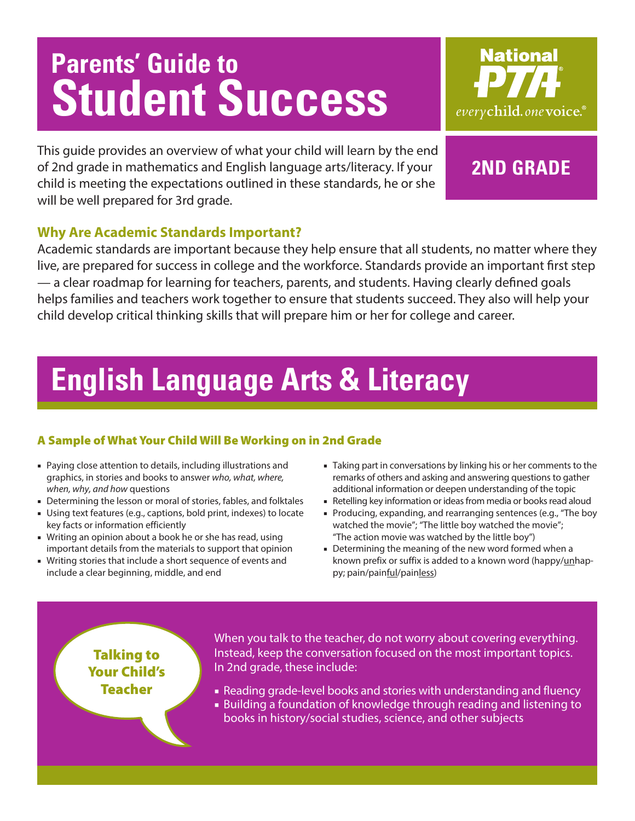# **Parents' Guide to Student Success**



This guide provides an overview of what your child will learn by the end of 2nd grade in mathematics and English language arts/literacy. If your child is meeting the expectations outlined in these standards, he or she will be well prepared for 3rd grade.

## **2ND GRADE**

### **Why Are Academic Standards Important?**

Academic standards are important because they help ensure that all students, no matter where they live, are prepared for success in college and the workforce. Standards provide an important first step — a clear roadmap for learning for teachers, parents, and students. Having clearly defined goals helps families and teachers work together to ensure that students succeed. They also will help your child develop critical thinking skills that will prepare him or her for college and career.

## **English Language Arts & Literacy**

### A Sample of What Your Child Will Be Working on in 2nd Grade

- Paying close attention to details, including illustrations and graphics, in stories and books to answer *who, what, where, when, why, and how* questions
- Determining the lesson or moral of stories, fables, and folktales
- Using text features (e.g., captions, bold print, indexes) to locate key facts or information efficiently
- Writing an opinion about a book he or she has read, using important details from the materials to support that opinion
- Writing stories that include a short sequence of events and include a clear beginning, middle, and end
- Taking part in conversations by linking his or her comments to the remarks of others and asking and answering questions to gather additional information or deepen understanding of the topic
- Retelling key information or ideas from media or books read aloud
- Producing, expanding, and rearranging sentences (e.g., "The boy watched the movie"; "The little boy watched the movie"; "The action movie was watched by the little boy")
- Determining the meaning of the new word formed when a known prefix or suffix is added to a known word (happy/unhappy; pain/painful/painless)

## Talking to Your Child's Teacher

When you talk to the teacher, do not worry about covering everything. Instead, keep the conversation focused on the most important topics. In 2nd grade, these include:

- Reading grade-level books and stories with understanding and fluency
- Building a foundation of knowledge through reading and listening to books in history/social studies, science, and other subjects